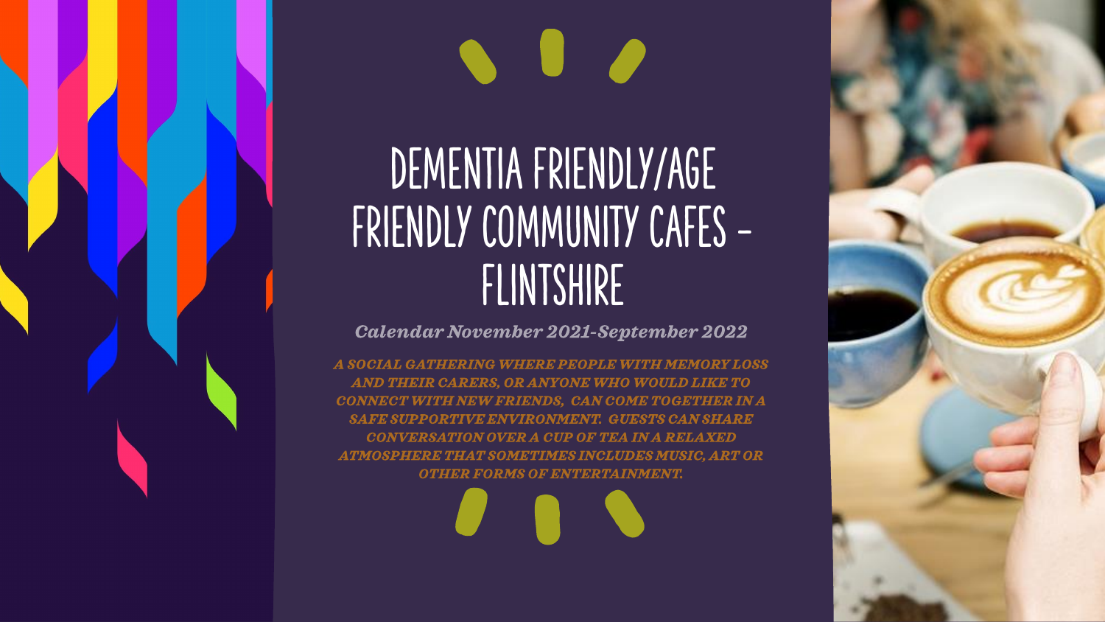# $\bullet$   $\bullet$

## DEMENTIA FRIENDLY/AGE FRIENDLY COMMUNITY CAFES -FLINTSHIRE

#### **Calendar November 2021-September 2022**

A SOCIAL GATHERING WHERE PEOPLE WITH MEMORY LOSS AND THEIR CARERS, OR ANYONE WHO WOULD LIKE TO CONNECT WITH NEW FRIENDS, CAN COME TOGETHER IN A SAFE SUPPORTIVE ENVIRONMENT. GUESTS CAN SHARE CONVERSATION OVER A CUP OF TEA IN A RELAXED **ATMOSPHERE THAT SOMETIMES INCLUDES MUSIC, ART OR OTHER FORMS OF ENTERTAINMENT.**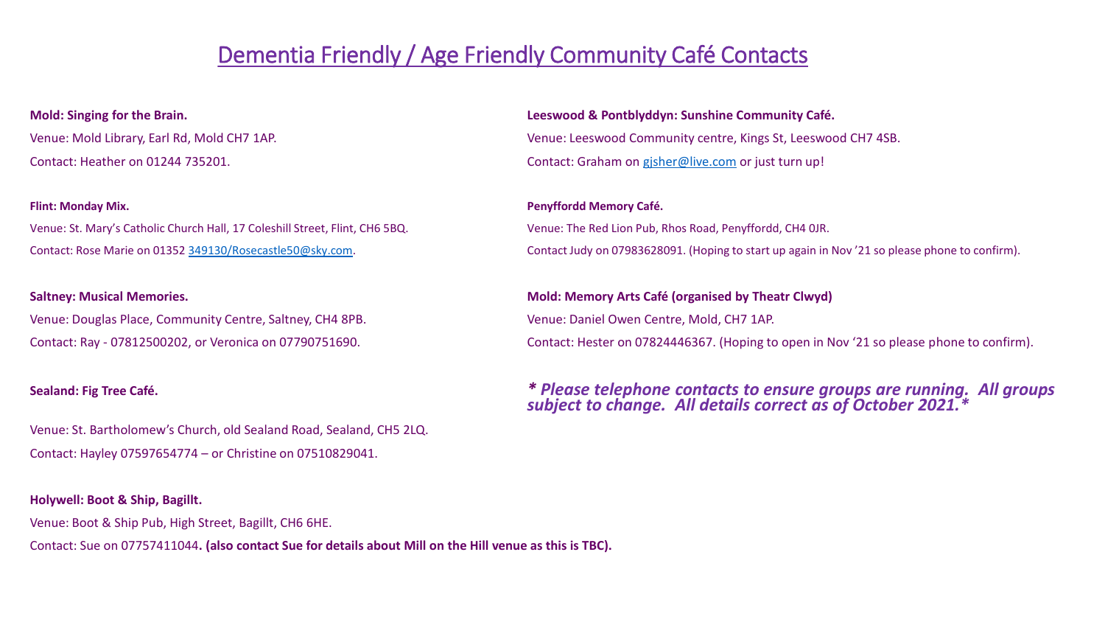#### Dementia Friendly / Age Friendly Community Café Contacts

Venue: St. Mary's Catholic Church Hall, 17 Coleshill Street, Flint, CH6 5BQ. Venue: The Red Lion Pub, Rhos Road, Penyffordd, CH4 0JR.

Venue: Douglas Place, Community Centre, Saltney, CH4 8PB. Venue: Daniel Owen Centre, Mold, CH7 1AP.

Venue: St. Bartholomew's Church, old Sealand Road, Sealand, CH5 2LQ. Contact: Hayley 07597654774 – or Christine on 07510829041.

#### **Holywell: Boot & Ship, Bagillt.**

Venue: Boot & Ship Pub, High Street, Bagillt, CH6 6HE.

Contact: Sue on 07757411044**. (also contact Sue for details about Mill on the Hill venue as this is TBC).**

#### **Mold: Singing for the Brain. Leeswood & Pontblyddyn: Sunshine Community Café.** Venue: Mold Library, Earl Rd, Mold CH7 1AP. Venue: Leeswood Community centre, Kings St, Leeswood CH7 4SB. Contact: Heather on 01244 735201. Contact: Graham on [gjsher@live.com](mailto:gjsher@live.com) or just turn up!

#### **Flint: Monday Mix. Penyffordd Memory Café.** Contact: Rose Marie on 01352 [349130/Rosecastle50@sky.com.](mailto:349130/Rosecastle50@sky.com) Contact Judy on 07983628091. (Hoping to start up again in Nov '21 so please phone to confirm).

#### **Saltney: Musical Memories. Mold: Memory Arts Café (organised by Theatr Clwyd)**

Contact: Ray - 07812500202, or Veronica on 07790751690. Contact: Hester on 07824446367. (Hoping to open in Nov '21 so please phone to confirm).

#### **Sealand: Fig Tree Café.** *\* Please telephone contacts to ensure groups are running. All groups subject to change. All details correct as of October 2021.\**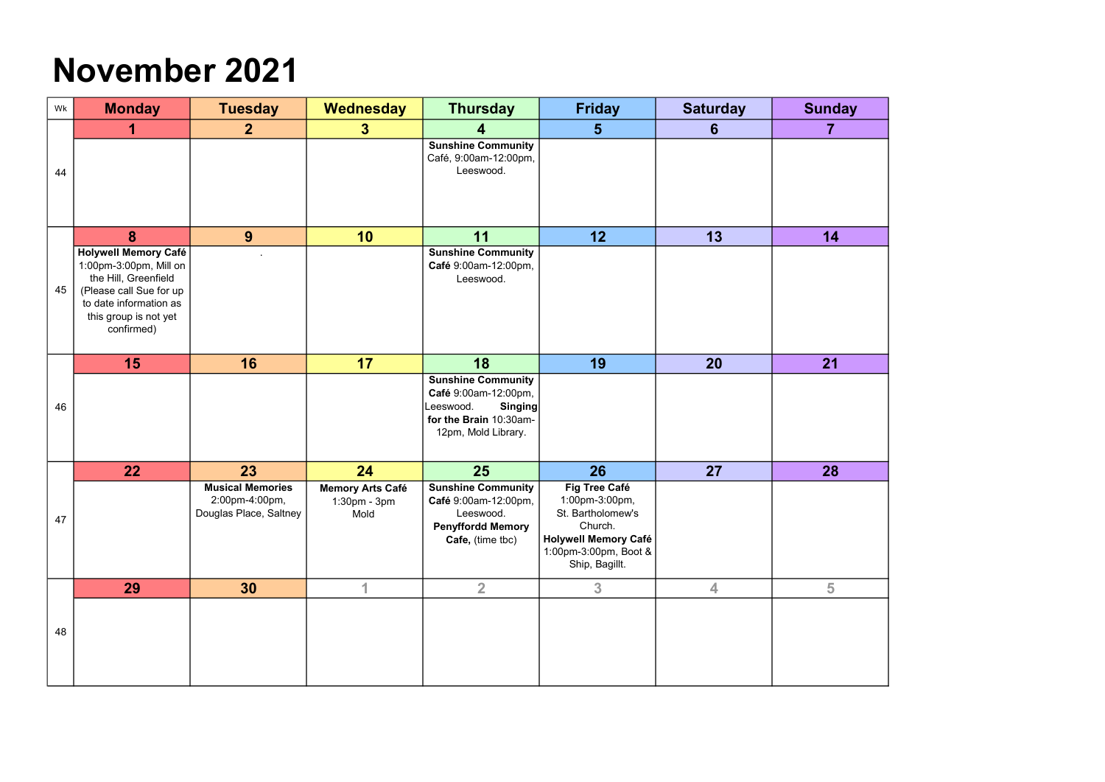#### November 2021

| Wk | <b>Monday</b>                                                                                                                                                      | <b>Tuesday</b>                                                      | Wednesday                                       | <b>Thursday</b>                                                                                                            | <b>Friday</b>                                                                                                                             | <b>Saturday</b>         | <b>Sunday</b> |
|----|--------------------------------------------------------------------------------------------------------------------------------------------------------------------|---------------------------------------------------------------------|-------------------------------------------------|----------------------------------------------------------------------------------------------------------------------------|-------------------------------------------------------------------------------------------------------------------------------------------|-------------------------|---------------|
|    |                                                                                                                                                                    | $\mathbf{2}$                                                        | $\bf{3}$                                        |                                                                                                                            | $\bf{5}$                                                                                                                                  | 6                       | 7             |
| 44 |                                                                                                                                                                    |                                                                     |                                                 | <b>Sunshine Community</b><br>Café, 9:00am-12:00pm,<br>Leeswood.                                                            |                                                                                                                                           |                         |               |
|    | 8                                                                                                                                                                  | 9                                                                   | 10                                              | 11                                                                                                                         | 12                                                                                                                                        | 13                      | 14            |
| 45 | Holywell Memory Café<br>1:00pm-3:00pm, Mill on<br>the Hill, Greenfield<br>(Please call Sue for up<br>to date information as<br>this group is not yet<br>confirmed) |                                                                     |                                                 | <b>Sunshine Community</b><br>Café 9:00am-12:00pm,<br>Leeswood.                                                             |                                                                                                                                           |                         |               |
|    | 15                                                                                                                                                                 | 16                                                                  | 17                                              | 18                                                                                                                         | 19                                                                                                                                        | 20                      | 21            |
| 46 |                                                                                                                                                                    |                                                                     |                                                 | <b>Sunshine Community</b><br>Café 9:00am-12:00pm,<br>Singing<br>Leeswood.<br>for the Brain 10:30am-<br>12pm, Mold Library. |                                                                                                                                           |                         |               |
|    | 22                                                                                                                                                                 | 23                                                                  | 24                                              | 25                                                                                                                         | 26                                                                                                                                        | 27                      | 28            |
| 47 |                                                                                                                                                                    | <b>Musical Memories</b><br>2:00pm-4:00pm,<br>Douglas Place, Saltney | <b>Memory Arts Café</b><br>1:30pm - 3pm<br>Mold | <b>Sunshine Community</b><br>Café 9:00am-12:00pm,<br>Leeswood.<br><b>Penyffordd Memory</b><br>Cafe, (time tbc)             | Fig Tree Café<br>1:00pm-3:00pm,<br>St. Bartholomew's<br>Church.<br><b>Holywell Memory Café</b><br>1:00pm-3:00pm, Boot &<br>Ship, Bagillt. |                         |               |
|    | 29                                                                                                                                                                 | 30                                                                  | 1                                               | $\overline{2}$                                                                                                             | 3 <sup>1</sup>                                                                                                                            | $\overline{\mathbf{4}}$ | 5             |
| 48 |                                                                                                                                                                    |                                                                     |                                                 |                                                                                                                            |                                                                                                                                           |                         |               |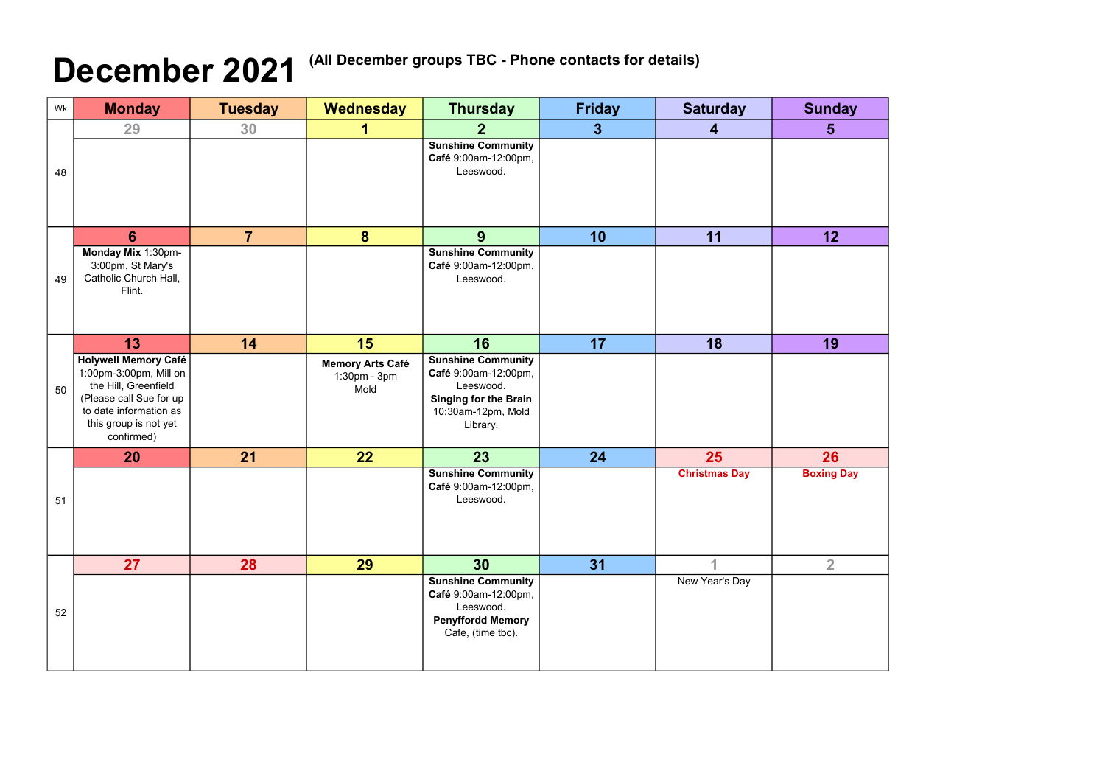## December 2021<sup>(All December groups TBC - Phone contacts for details)</sup>

| Wk | <b>Monday</b>                                                                                                                                                              | <b>Tuesday</b> | <b>Wednesday</b>                                      | <b>Thursday</b>                                                                                                                  | <b>Friday</b>  | <b>Saturday</b>      | <b>Sunday</b>     |
|----|----------------------------------------------------------------------------------------------------------------------------------------------------------------------------|----------------|-------------------------------------------------------|----------------------------------------------------------------------------------------------------------------------------------|----------------|----------------------|-------------------|
|    | 29                                                                                                                                                                         | 30             |                                                       |                                                                                                                                  | 3 <sup>2</sup> | 4                    | 5 <sup>5</sup>    |
| 48 |                                                                                                                                                                            |                |                                                       | <b>Sunshine Community</b><br>Café 9:00am-12:00pm,<br>Leeswood.                                                                   |                |                      |                   |
|    | 6                                                                                                                                                                          | $\overline{7}$ | 8                                                     | 9                                                                                                                                | 10             | 11                   | 12                |
| 49 | Monday Mix 1:30pm-<br>3:00pm, St Mary's<br>Catholic Church Hall,<br>Flint.                                                                                                 |                |                                                       | <b>Sunshine Community</b><br>Café 9:00am-12:00pm,<br>Leeswood.                                                                   |                |                      |                   |
|    | 13                                                                                                                                                                         | 14             | 15                                                    | 16                                                                                                                               | 17             | 18                   | 19                |
| 50 | Holywell Memory Café<br>1:00pm-3:00pm, Mill on $\vert$<br>the Hill, Greenfield<br>(Please call Sue for up<br>to date information as<br>this group is not yet<br>confirmed) |                | <b>Memory Arts Café</b><br>$1:30$ pm - $3$ pm<br>Mold | <b>Sunshine Community</b><br>Café 9:00am-12:00pm,<br>Leeswood.<br><b>Singing for the Brain</b><br>10:30am-12pm, Mold<br>Library. |                |                      |                   |
|    | <b>20</b>                                                                                                                                                                  | 21             | 22                                                    | 23                                                                                                                               | 24             | 25                   | 26                |
| 51 |                                                                                                                                                                            |                |                                                       | <b>Sunshine Community</b><br>Café 9:00am-12:00pm,<br>Leeswood.                                                                   |                | <b>Christmas Day</b> | <b>Boxing Day</b> |
|    | 27                                                                                                                                                                         | 28             | 29                                                    | 30                                                                                                                               | 31             | 4                    | $\overline{2}$    |
| 52 |                                                                                                                                                                            |                |                                                       | <b>Sunshine Community</b><br>Café 9:00am-12:00pm,<br>Leeswood.<br><b>Penyffordd Memory</b><br>Cafe, (time tbc).                  |                | New Year's Day       |                   |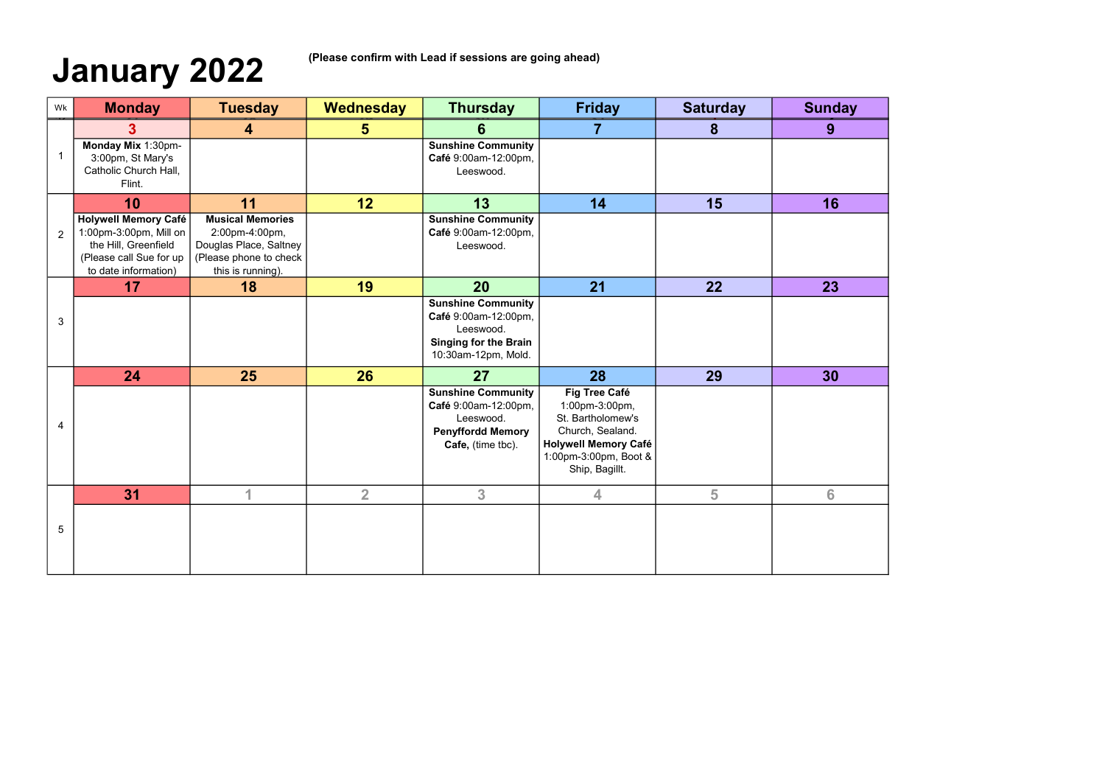## January 2022 (Please confirm with Lead if sessions are going ahead)

| Wk             | <b>Monday</b>                                                                                                                    | <b>Tuesday</b>                                                                                                     | Wednesday       | <b>Thursday</b>                                                                                                       | <b>Friday</b>                                                                                                                                             | <b>Saturday</b> | <b>Sunday</b> |
|----------------|----------------------------------------------------------------------------------------------------------------------------------|--------------------------------------------------------------------------------------------------------------------|-----------------|-----------------------------------------------------------------------------------------------------------------------|-----------------------------------------------------------------------------------------------------------------------------------------------------------|-----------------|---------------|
|                | 3.                                                                                                                               | $\overline{4}$                                                                                                     | 5               | 6                                                                                                                     | 7                                                                                                                                                         | 8               | 9             |
| $\mathbf{1}$   | Monday Mix 1:30pm-<br>3:00pm, St Mary's<br>Catholic Church Hall,<br>Flint.                                                       |                                                                                                                    |                 | <b>Sunshine Community</b><br>Café 9:00am-12:00pm,<br>Leeswood.                                                        |                                                                                                                                                           |                 |               |
|                | 10                                                                                                                               | 11                                                                                                                 | 12 <sub>2</sub> | 13                                                                                                                    | 14                                                                                                                                                        | 15              | 16            |
| $\overline{2}$ | <b>Holywell Memory Café</b><br>1:00pm-3:00pm, Mill on<br>the Hill, Greenfield<br>(Please call Sue for up<br>to date information) | <b>Musical Memories</b><br>2:00pm-4:00pm,<br>Douglas Place, Saltney<br>(Please phone to check<br>this is running). |                 | <b>Sunshine Community</b><br>Café 9:00am-12:00pm,<br>Leeswood.                                                        |                                                                                                                                                           |                 |               |
|                | 17                                                                                                                               | 18                                                                                                                 | 19              | 20                                                                                                                    | 21                                                                                                                                                        | 22              | 23            |
| 3              |                                                                                                                                  |                                                                                                                    |                 | <b>Sunshine Community</b><br>Café 9:00am-12:00pm,<br>Leeswood.<br><b>Singing for the Brain</b><br>10:30am-12pm, Mold. |                                                                                                                                                           |                 |               |
|                | 24                                                                                                                               | 25                                                                                                                 | 26              | 27                                                                                                                    | 28                                                                                                                                                        | 29              | 30            |
| $\overline{4}$ |                                                                                                                                  |                                                                                                                    |                 | <b>Sunshine Community</b><br>Café 9:00am-12:00pm,<br>Leeswood.<br><b>Penyffordd Memory</b><br>Cafe, (time tbc).       | <b>Fig Tree Café</b><br>1:00pm-3:00pm,<br>St. Bartholomew's<br>Church, Sealand.<br><b>Holywell Memory Café</b><br>1:00pm-3:00pm, Boot &<br>Ship, Bagillt. |                 |               |
|                | 31                                                                                                                               | 4                                                                                                                  | $\overline{2}$  | 3 <sup>1</sup>                                                                                                        | 4                                                                                                                                                         | 5               | 6             |
| 5              |                                                                                                                                  |                                                                                                                    |                 |                                                                                                                       |                                                                                                                                                           |                 |               |

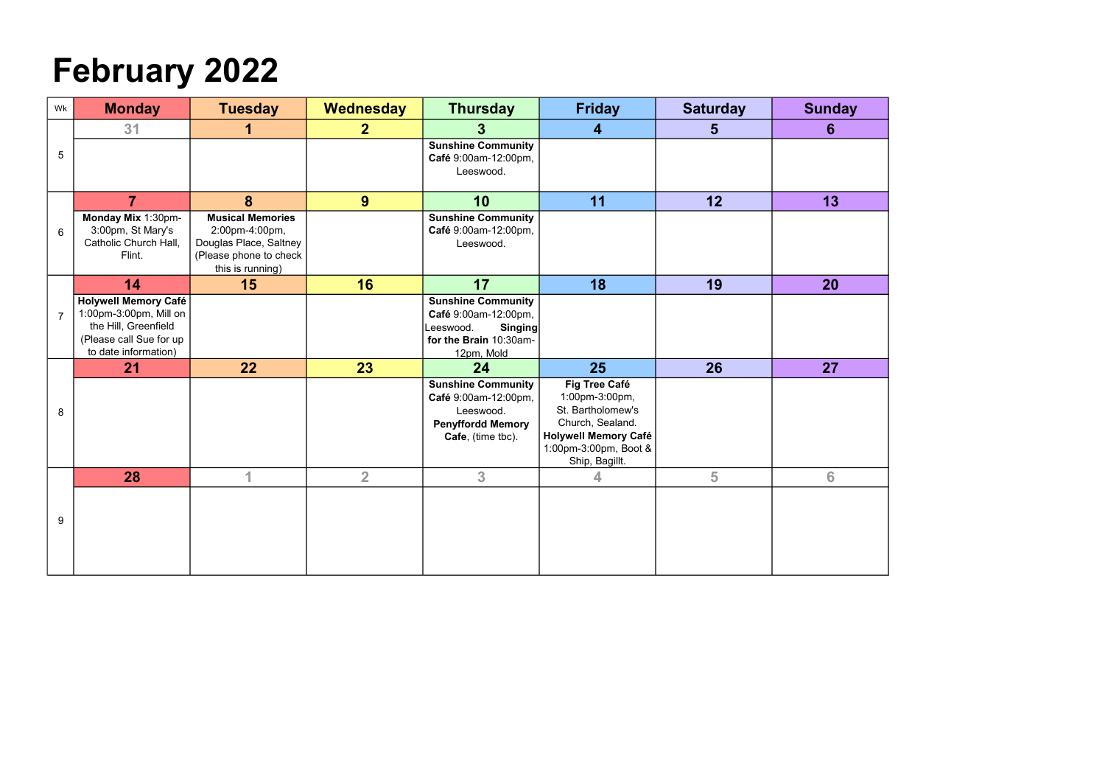## February 2022

| Wk              | <b>Monday</b>                                                                                                                    | <b>Tuesday</b>                                                                                                    | Wednesday      | <b>Thursday</b>                                                                                                          | <b>Friday</b>                                                                                                                                      | <b>Saturday</b> | <b>Sunday</b> |
|-----------------|----------------------------------------------------------------------------------------------------------------------------------|-------------------------------------------------------------------------------------------------------------------|----------------|--------------------------------------------------------------------------------------------------------------------------|----------------------------------------------------------------------------------------------------------------------------------------------------|-----------------|---------------|
|                 | 31                                                                                                                               | 1                                                                                                                 | 2 <sup>2</sup> | 3 <sup>°</sup>                                                                                                           | $\overline{\mathbf{4}}$                                                                                                                            | $5\phantom{1}$  | 6             |
| $5\phantom{.0}$ |                                                                                                                                  |                                                                                                                   |                | <b>Sunshine Community</b><br>Café 9:00am-12:00pm,<br>Leeswood.                                                           |                                                                                                                                                    |                 |               |
|                 | $\overline{7}$                                                                                                                   | 8                                                                                                                 | 9              | 10                                                                                                                       | 11                                                                                                                                                 | 12              | 13            |
| 6               | Monday Mix 1:30pm-<br>3:00pm, St Mary's<br>Catholic Church Hall,<br>Flint.                                                       | <b>Musical Memories</b><br>2:00pm-4:00pm,<br>Douglas Place, Saltney<br>(Please phone to check<br>this is running) |                | <b>Sunshine Community</b><br>Café 9:00am-12:00pm,<br>Leeswood.                                                           |                                                                                                                                                    |                 |               |
|                 | 14                                                                                                                               | 15                                                                                                                | 16             | 17                                                                                                                       | 18                                                                                                                                                 | 19              | 20            |
| $\overline{7}$  | <b>Holywell Memory Café</b><br>1:00pm-3:00pm, Mill on<br>the Hill, Greenfield<br>(Please call Sue for up<br>to date information) |                                                                                                                   |                | <b>Sunshine Community</b><br>Café 9:00am-12:00pm,<br>Leeswood.<br><b>Singing</b><br>for the Brain 10:30am-<br>12pm, Mold |                                                                                                                                                    |                 |               |
|                 | 21                                                                                                                               | 22                                                                                                                | 23             | 24                                                                                                                       | 25                                                                                                                                                 | 26              | 27            |
| 8               |                                                                                                                                  |                                                                                                                   |                | <b>Sunshine Community</b><br>Café 9:00am-12:00pm,<br>Leeswood.<br><b>Penyffordd Memory</b><br>Cafe, (time tbc).          | Fig Tree Café<br>1:00pm-3:00pm,<br>St. Bartholomew's<br>Church, Sealand.<br><b>Holywell Memory Café</b><br>1:00pm-3:00pm, Boot &<br>Ship, Bagillt. |                 |               |
|                 | 28                                                                                                                               | 1                                                                                                                 | $\overline{2}$ | 3 <sup>1</sup>                                                                                                           | 4                                                                                                                                                  | 5               | 6             |
| 9               |                                                                                                                                  |                                                                                                                   |                |                                                                                                                          |                                                                                                                                                    |                 |               |

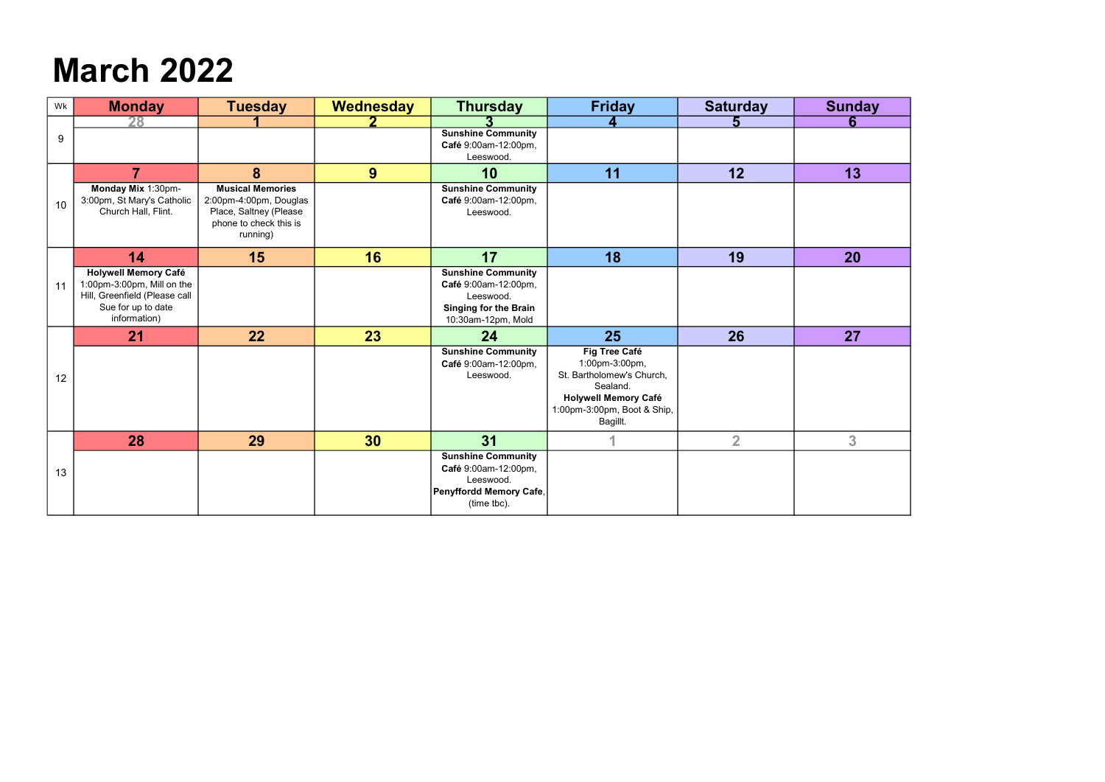### March 2022

| Wk | <b>Monday</b>                                                                                                                    | <b>Tuesday</b>                                                                                                    | Wednesday | <b>Thursday</b>                                                                                                      | <b>Friday</b>                                                                                                                                      | <b>Saturday</b> | <b>Sunday</b> |
|----|----------------------------------------------------------------------------------------------------------------------------------|-------------------------------------------------------------------------------------------------------------------|-----------|----------------------------------------------------------------------------------------------------------------------|----------------------------------------------------------------------------------------------------------------------------------------------------|-----------------|---------------|
|    |                                                                                                                                  |                                                                                                                   |           |                                                                                                                      |                                                                                                                                                    |                 |               |
| 9  |                                                                                                                                  |                                                                                                                   |           | <b>Sunshine Community</b><br>Café 9:00am-12:00pm,<br>Leeswood.                                                       |                                                                                                                                                    |                 |               |
|    | $\overline{7}$                                                                                                                   | 8                                                                                                                 | 9         | 10                                                                                                                   | 11                                                                                                                                                 | 12              | 13            |
| 10 | Monday Mix 1:30pm-<br>3:00pm, St Mary's Catholic<br>Church Hall, Flint.                                                          | <b>Musical Memories</b><br>2:00pm-4:00pm, Douglas<br>Place, Saltney (Please<br>phone to check this is<br>running) |           | <b>Sunshine Community</b><br>Café 9:00am-12:00pm,<br>Leeswood.                                                       |                                                                                                                                                    |                 |               |
|    | 14                                                                                                                               | 15                                                                                                                | 16        | 17                                                                                                                   | 18                                                                                                                                                 | 19              | 20            |
| 11 | <b>Holywell Memory Café</b><br>1:00pm-3:00pm, Mill on the<br>Hill, Greenfield (Please call<br>Sue for up to date<br>information) |                                                                                                                   |           | <b>Sunshine Community</b><br>Café 9:00am-12:00pm,<br>Leeswood.<br><b>Singing for the Brain</b><br>10:30am-12pm, Mold |                                                                                                                                                    |                 |               |
|    | 21                                                                                                                               | 22                                                                                                                | 23        | 24                                                                                                                   | 25                                                                                                                                                 | 26              | 27            |
| 12 |                                                                                                                                  |                                                                                                                   |           | <b>Sunshine Community</b><br>Café 9:00am-12:00pm,<br>Leeswood.                                                       | Fig Tree Café<br>1:00pm-3:00pm,<br>St. Bartholomew's Church,<br>Sealand.<br><b>Holywell Memory Café</b><br>1:00pm-3:00pm, Boot & Ship,<br>Bagillt. |                 |               |
|    | 28                                                                                                                               | 29                                                                                                                | 30        | 31                                                                                                                   |                                                                                                                                                    | $\overline{2}$  | 3             |
| 13 |                                                                                                                                  |                                                                                                                   |           | <b>Sunshine Community</b><br>Café 9:00am-12:00pm,<br>Leeswood.<br>Penyffordd Memory Cafe,<br>(time tbc).             |                                                                                                                                                    |                 |               |

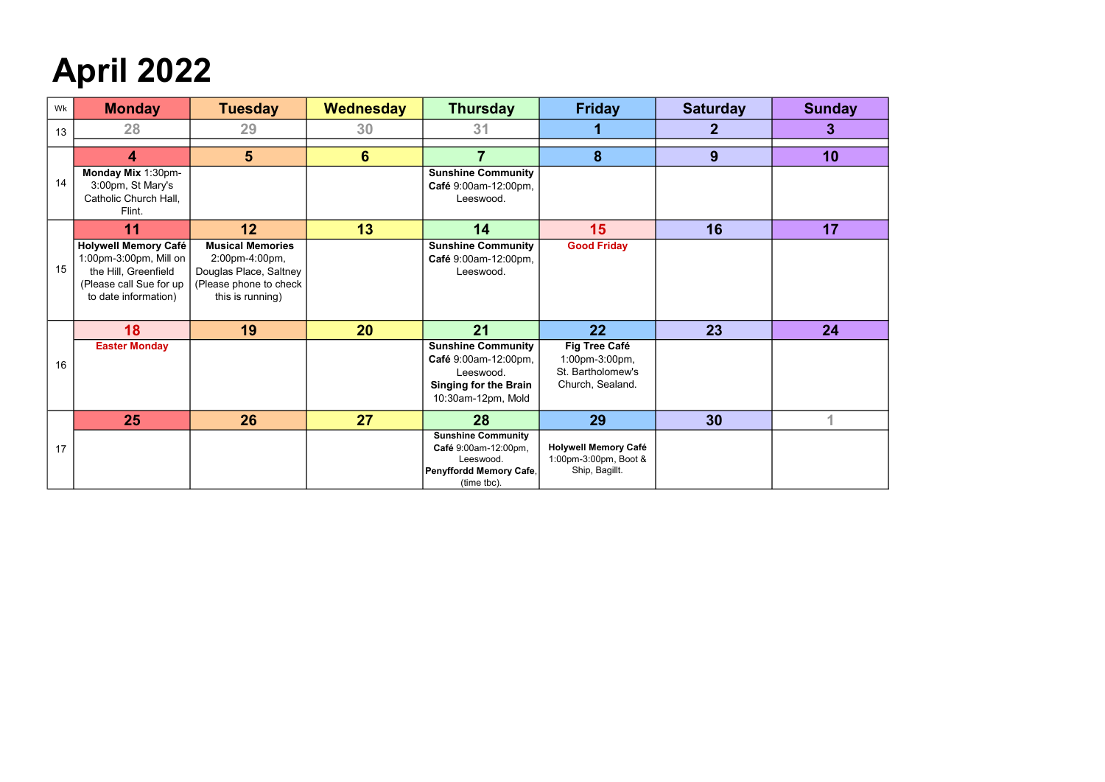## April 2022

| Wk | <b>Monday</b>                                                                                                                    | <b>Tuesday</b>                                                                                                    | Wednesday       | <b>Thursday</b>                                                                                                      | <b>Friday</b>                                                            | <b>Saturday</b> | <b>Sunday</b> |
|----|----------------------------------------------------------------------------------------------------------------------------------|-------------------------------------------------------------------------------------------------------------------|-----------------|----------------------------------------------------------------------------------------------------------------------|--------------------------------------------------------------------------|-----------------|---------------|
| 13 | 28                                                                                                                               | 29                                                                                                                | 30              | 31                                                                                                                   |                                                                          | 2               | 3             |
|    | 4                                                                                                                                | $5\phantom{1}$                                                                                                    | $6\phantom{1}6$ | $\overline{\mathbf{7}}$                                                                                              | 8                                                                        | 9               | 10            |
| 14 | Monday Mix 1:30pm-<br>3:00pm, St Mary's<br>Catholic Church Hall,<br>Flint.                                                       |                                                                                                                   |                 | <b>Sunshine Community</b><br>Café 9:00am-12:00pm,<br>Leeswood.                                                       |                                                                          |                 |               |
|    | 11                                                                                                                               | 12                                                                                                                | 13              | 14                                                                                                                   | 15                                                                       | 16              | 17            |
| 15 | <b>Holywell Memory Café</b><br>1:00pm-3:00pm, Mill on<br>the Hill, Greenfield<br>(Please call Sue for up<br>to date information) | <b>Musical Memories</b><br>2:00pm-4:00pm,<br>Douglas Place, Saltney<br>(Please phone to check<br>this is running) |                 | <b>Sunshine Community</b><br>Café 9:00am-12:00pm,<br>Leeswood.                                                       | <b>Good Friday</b>                                                       |                 |               |
|    | 18                                                                                                                               | 19                                                                                                                | <b>20</b>       | 21                                                                                                                   | $22 \overline{)}$                                                        | 23              | 24            |
| 16 | <b>Easter Monday</b>                                                                                                             |                                                                                                                   |                 | <b>Sunshine Community</b><br>Café 9:00am-12:00pm,<br>Leeswood.<br><b>Singing for the Brain</b><br>10:30am-12pm, Mold | Fig Tree Café<br>1:00pm-3:00pm,<br>St. Bartholomew's<br>Church, Sealand. |                 |               |
|    | 25                                                                                                                               | 26                                                                                                                | 27              | 28                                                                                                                   | 29                                                                       | 30              |               |
| 17 |                                                                                                                                  |                                                                                                                   |                 | <b>Sunshine Community</b><br>Café 9:00am-12:00pm,<br>Leeswood.<br>Penyffordd Memory Cafe,<br>(time tbc).             | <b>Holywell Memory Café</b><br>1:00pm-3:00pm, Boot &<br>Ship, Bagillt.   |                 |               |

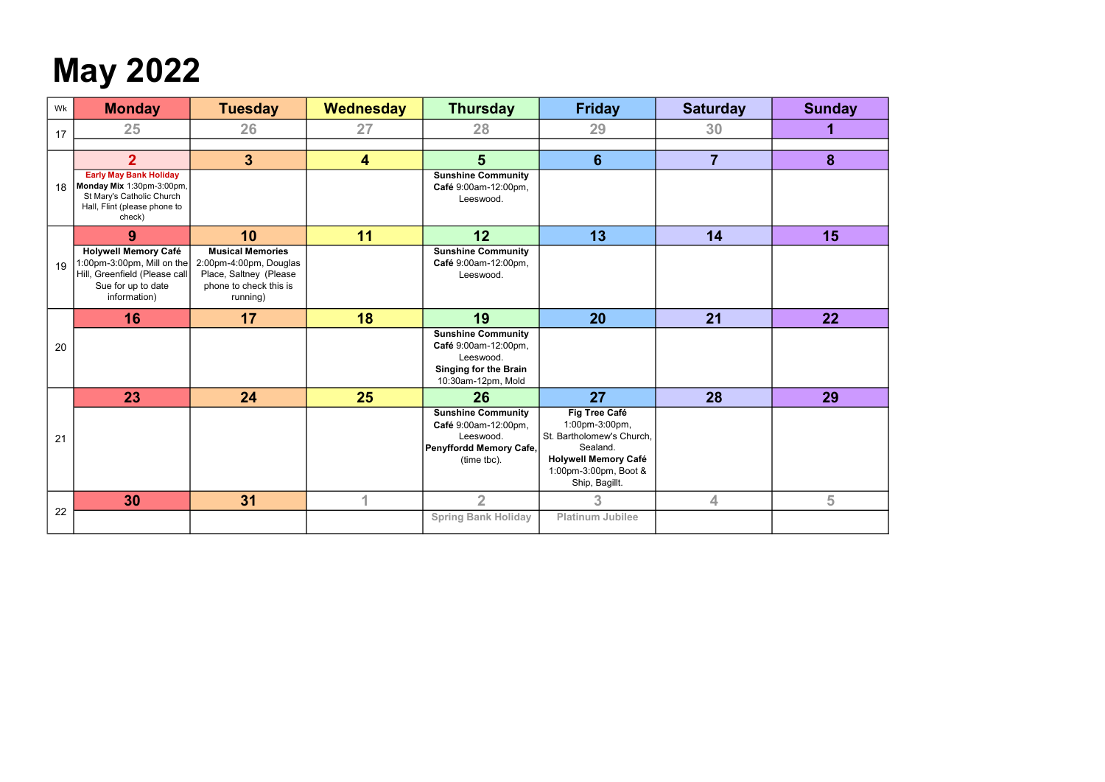## May 2022

| Wk | <b>Monday</b>                                                                                                                     | <b>Tuesday</b>                                                                                                    | Wednesday | <b>Thursday</b>                                                                                                      | <b>Friday</b>                                                                                                                                      | <b>Saturday</b> | <b>Sunday</b> |
|----|-----------------------------------------------------------------------------------------------------------------------------------|-------------------------------------------------------------------------------------------------------------------|-----------|----------------------------------------------------------------------------------------------------------------------|----------------------------------------------------------------------------------------------------------------------------------------------------|-----------------|---------------|
| 17 | 25                                                                                                                                | 26                                                                                                                | 27        | 28                                                                                                                   | 29                                                                                                                                                 | 30              | 1             |
|    | 2 <sup>1</sup>                                                                                                                    | $3\overline{3}$                                                                                                   | 4         | 5 <sup>5</sup>                                                                                                       | $6\phantom{1}$                                                                                                                                     | $\overline{7}$  | 8             |
| 18 | <b>Early May Bank Holiday</b><br>Monday Mix 1:30pm-3:00pm,<br>St Mary's Catholic Church<br>Hall, Flint (please phone to<br>check) |                                                                                                                   |           | <b>Sunshine Community</b><br>Café 9:00am-12:00pm,<br>Leeswood.                                                       |                                                                                                                                                    |                 |               |
|    | 9                                                                                                                                 | 10                                                                                                                | 11        | 12                                                                                                                   | 13                                                                                                                                                 | 14              | 15            |
| 19 | <b>Holywell Memory Café</b><br>1:00pm-3:00pm, Mill on the<br>Hill, Greenfield (Please call<br>Sue for up to date<br>information)  | <b>Musical Memories</b><br>2:00pm-4:00pm, Douglas<br>Place, Saltney (Please<br>phone to check this is<br>running) |           | <b>Sunshine Community</b><br>Café 9:00am-12:00pm,<br>Leeswood.                                                       |                                                                                                                                                    |                 |               |
|    | 16                                                                                                                                | 17                                                                                                                | 18        | 19                                                                                                                   | <b>20</b>                                                                                                                                          | 21              | 22            |
| 20 |                                                                                                                                   |                                                                                                                   |           | <b>Sunshine Community</b><br>Café 9:00am-12:00pm,<br>Leeswood.<br><b>Singing for the Brain</b><br>10:30am-12pm, Mold |                                                                                                                                                    |                 |               |
|    | 23                                                                                                                                | 24                                                                                                                | 25        | 26                                                                                                                   | 27                                                                                                                                                 | 28              | 29            |
| 21 |                                                                                                                                   |                                                                                                                   |           | <b>Sunshine Community</b><br>Café 9:00am-12:00pm,<br>Leeswood.<br>Penyffordd Memory Cafe,<br>(time tbc).             | Fig Tree Café<br>1:00pm-3:00pm,<br>St. Bartholomew's Church,<br>Sealand.<br><b>Holywell Memory Café</b><br>1:00pm-3:00pm, Boot &<br>Ship, Bagillt. |                 |               |
|    | 30                                                                                                                                | 31                                                                                                                | 1         | $\overline{2}$                                                                                                       | 3                                                                                                                                                  | 4               | 5             |
| 22 |                                                                                                                                   |                                                                                                                   |           | <b>Spring Bank Holiday</b>                                                                                           | <b>Platinum Jubilee</b>                                                                                                                            |                 |               |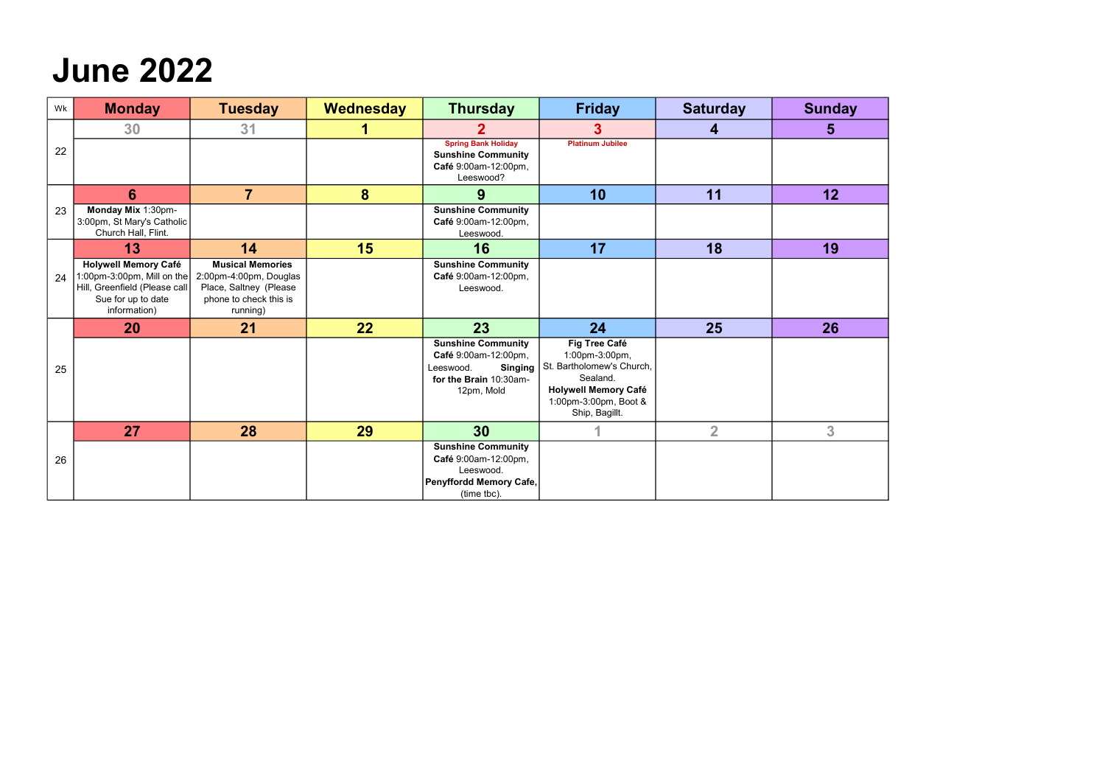### June 2022

| Wk | <b>Monday</b>                                                                                                                    | <b>Tuesday</b>                                                                                                    | Wednesday | <b>Thursday</b>                                                                                                          | <b>Friday</b>                                                                                                                                      | <b>Saturday</b> | <b>Sunday</b>  |
|----|----------------------------------------------------------------------------------------------------------------------------------|-------------------------------------------------------------------------------------------------------------------|-----------|--------------------------------------------------------------------------------------------------------------------------|----------------------------------------------------------------------------------------------------------------------------------------------------|-----------------|----------------|
|    | 30                                                                                                                               | 31                                                                                                                |           |                                                                                                                          |                                                                                                                                                    | 4               | 5              |
| 22 |                                                                                                                                  |                                                                                                                   |           | <b>Spring Bank Holiday</b><br><b>Sunshine Community</b><br>Café 9:00am-12:00pm,<br>Leeswood?                             | <b>Platinum Jubilee</b>                                                                                                                            |                 |                |
|    | 6                                                                                                                                | $\overline{7}$                                                                                                    | 8         | 9                                                                                                                        | 10                                                                                                                                                 | 11              | 12             |
| 23 | Monday Mix 1:30pm-<br>3:00pm, St Mary's Catholic<br>Church Hall, Flint.                                                          |                                                                                                                   |           | <b>Sunshine Community</b><br>Café 9:00am-12:00pm,<br>Leeswood.                                                           |                                                                                                                                                    |                 |                |
|    | 13                                                                                                                               | 14                                                                                                                | 15        | 16                                                                                                                       | 17                                                                                                                                                 | 18              | 19             |
| 24 | <b>Holywell Memory Café</b><br>1:00pm-3:00pm, Mill on the<br>Hill, Greenfield (Please call<br>Sue for up to date<br>information) | <b>Musical Memories</b><br>2:00pm-4:00pm, Douglas<br>Place, Saltney (Please<br>phone to check this is<br>running) |           | <b>Sunshine Community</b><br>Café 9:00am-12:00pm,<br>Leeswood.                                                           |                                                                                                                                                    |                 |                |
|    | 20                                                                                                                               | 21                                                                                                                | 22        | 23                                                                                                                       | 24                                                                                                                                                 | 25              | 26             |
| 25 |                                                                                                                                  |                                                                                                                   |           | <b>Sunshine Community</b><br>Café 9:00am-12:00pm,<br>Leeswood.<br><b>Singing</b><br>for the Brain 10:30am-<br>12pm, Mold | Fig Tree Café<br>1:00pm-3:00pm,<br>St. Bartholomew's Church,<br>Sealand.<br><b>Holywell Memory Café</b><br>1:00pm-3:00pm, Boot &<br>Ship, Bagillt. |                 |                |
|    | 27                                                                                                                               | 28                                                                                                                | 29        | 30                                                                                                                       |                                                                                                                                                    | $\overline{2}$  | 3 <sup>1</sup> |
| 26 |                                                                                                                                  |                                                                                                                   |           | <b>Sunshine Community</b><br>Café 9:00am-12:00pm,<br>Leeswood.<br>Penyffordd Memory Cafe,<br>(time tbc).                 |                                                                                                                                                    |                 |                |

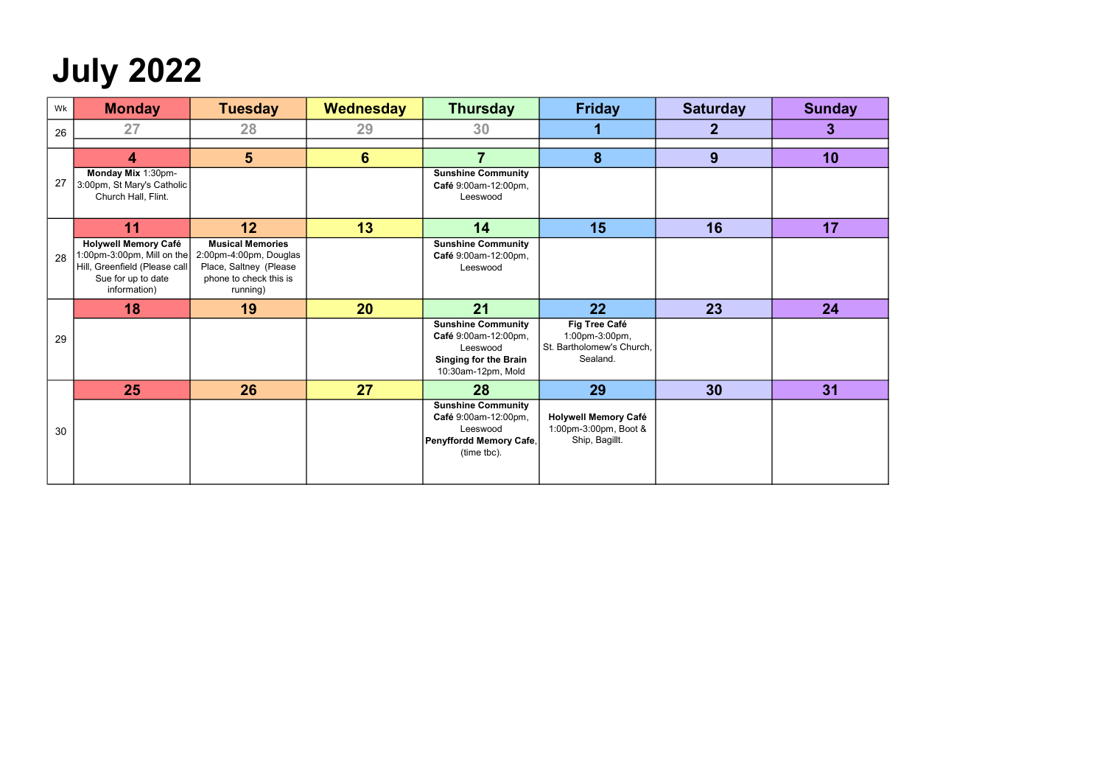## July 2022

| Wk | <b>Monday</b>                                                                                                                    | <b>Tuesday</b>                                                                                                    | Wednesday      | <b>Thursday</b>                                                                                                     | <b>Friday</b>                                                            | <b>Saturday</b> | <b>Sunday</b> |
|----|----------------------------------------------------------------------------------------------------------------------------------|-------------------------------------------------------------------------------------------------------------------|----------------|---------------------------------------------------------------------------------------------------------------------|--------------------------------------------------------------------------|-----------------|---------------|
| 26 | 27                                                                                                                               | 28                                                                                                                | 29             | 30                                                                                                                  |                                                                          | $\mathbf 2$     | 3             |
|    | 4                                                                                                                                | $5\phantom{1}$                                                                                                    | $6\phantom{1}$ | 7                                                                                                                   | 8                                                                        | 9               | 10            |
| 27 | Monday Mix 1:30pm-<br>3:00pm, St Mary's Catholic<br>Church Hall, Flint.                                                          |                                                                                                                   |                | <b>Sunshine Community</b><br>Café 9:00am-12:00pm,<br>Leeswood                                                       |                                                                          |                 |               |
|    | 11                                                                                                                               | 12                                                                                                                | 13             | 14                                                                                                                  | 15                                                                       | 16              | 17            |
| 28 | <b>Holywell Memory Café</b><br>1:00pm-3:00pm, Mill on the<br>Hill, Greenfield (Please call<br>Sue for up to date<br>information) | <b>Musical Memories</b><br>2:00pm-4:00pm, Douglas<br>Place, Saltney (Please<br>phone to check this is<br>running) |                | <b>Sunshine Community</b><br>Café 9:00am-12:00pm,<br>Leeswood                                                       |                                                                          |                 |               |
|    | 18                                                                                                                               | 19                                                                                                                | 20             | 21                                                                                                                  | 22                                                                       | 23              | 24            |
| 29 |                                                                                                                                  |                                                                                                                   |                | <b>Sunshine Community</b><br>Café 9:00am-12:00pm,<br>Leeswood<br><b>Singing for the Brain</b><br>10:30am-12pm, Mold | Fig Tree Café<br>1:00pm-3:00pm,<br>St. Bartholomew's Church,<br>Sealand. |                 |               |
|    | 25                                                                                                                               | 26                                                                                                                | 27             | 28                                                                                                                  | 29                                                                       | 30              | 31            |
| 30 |                                                                                                                                  |                                                                                                                   |                | <b>Sunshine Community</b><br>Café 9:00am-12:00pm,<br>Leeswood<br>Penyffordd Memory Cafe,<br>(time tbc).             | <b>Holywell Memory Café</b><br>1:00pm-3:00pm, Boot &<br>Ship, Bagillt.   |                 |               |

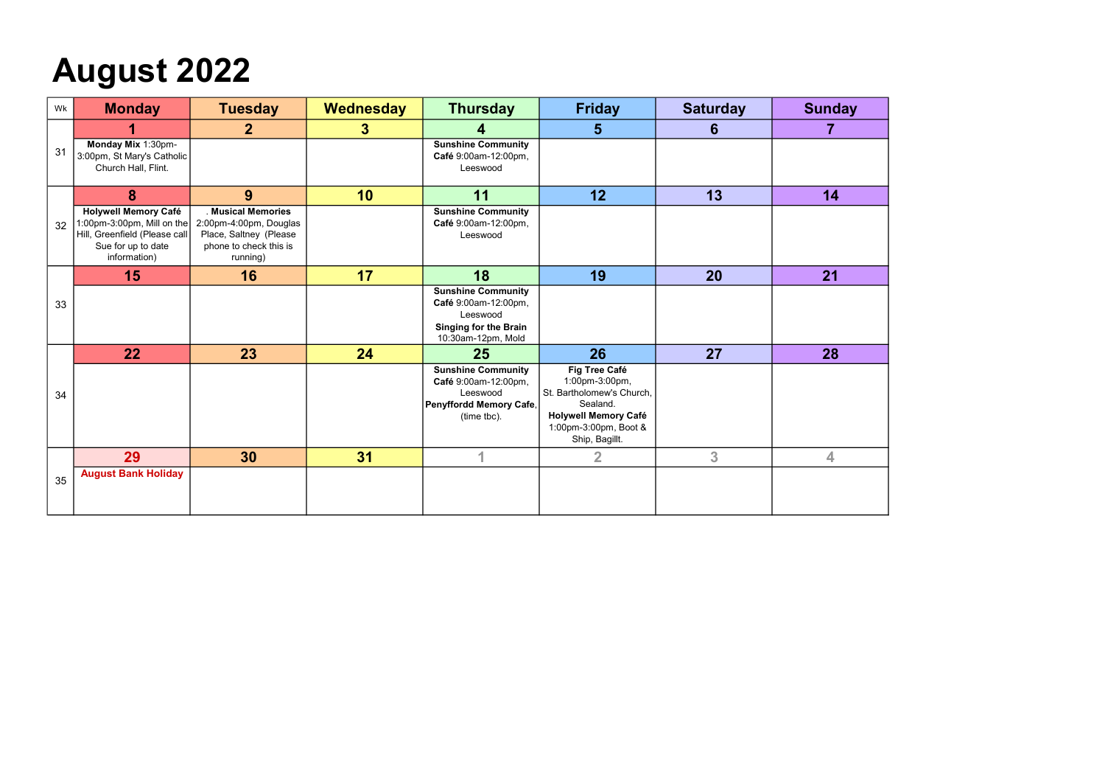## August 2022

| Wk | <b>Monday</b>                                                                                                                    | <b>Tuesday</b>                                                                                               | Wednesday        | <b>Thursday</b>                                                                                                     | <b>Friday</b>                                                                                                                                             | <b>Saturday</b> | <b>Sunday</b> |
|----|----------------------------------------------------------------------------------------------------------------------------------|--------------------------------------------------------------------------------------------------------------|------------------|---------------------------------------------------------------------------------------------------------------------|-----------------------------------------------------------------------------------------------------------------------------------------------------------|-----------------|---------------|
|    |                                                                                                                                  | $\mathbf{2}$                                                                                                 | $\boldsymbol{3}$ | 4                                                                                                                   | 5 <sup>5</sup>                                                                                                                                            | 6               | 7             |
| 31 | Monday Mix 1:30pm-<br>3:00pm, St Mary's Catholic<br>Church Hall, Flint.                                                          |                                                                                                              |                  | <b>Sunshine Community</b><br>Café 9:00am-12:00pm,<br>Leeswood                                                       |                                                                                                                                                           |                 |               |
|    | 8                                                                                                                                | 9                                                                                                            | 10               | 11                                                                                                                  | 12                                                                                                                                                        | 13              | 14            |
| 32 | <b>Holywell Memory Café</b><br>1:00pm-3:00pm, Mill on the<br>Hill, Greenfield (Please call<br>Sue for up to date<br>information) | . Musical Memories<br>2:00pm-4:00pm, Douglas<br>Place, Saltney (Please<br>phone to check this is<br>running) |                  | <b>Sunshine Community</b><br>Café 9:00am-12:00pm,<br>Leeswood                                                       |                                                                                                                                                           |                 |               |
|    | 15                                                                                                                               | 16                                                                                                           | 17               | 18                                                                                                                  | 19                                                                                                                                                        | 20              | 21            |
| 33 |                                                                                                                                  |                                                                                                              |                  | <b>Sunshine Community</b><br>Café 9:00am-12:00pm,<br>Leeswood<br><b>Singing for the Brain</b><br>10:30am-12pm, Mold |                                                                                                                                                           |                 |               |
|    | 22                                                                                                                               | 23                                                                                                           | 24               | 25                                                                                                                  | 26                                                                                                                                                        | 27              | 28            |
| 34 |                                                                                                                                  |                                                                                                              |                  | <b>Sunshine Community</b><br>Café 9:00am-12:00pm,<br>Leeswood<br>Penyffordd Memory Cafe,<br>(time tbc).             | <b>Fig Tree Café</b><br>1:00pm-3:00pm,<br>St. Bartholomew's Church,<br>Sealand.<br><b>Holywell Memory Café</b><br>1:00pm-3:00pm, Boot &<br>Ship, Bagillt. |                 |               |
|    | 29                                                                                                                               | 30                                                                                                           | 31               |                                                                                                                     | $\overline{2}$                                                                                                                                            | 3               | 4             |
| 35 | <b>August Bank Holiday</b>                                                                                                       |                                                                                                              |                  |                                                                                                                     |                                                                                                                                                           |                 |               |